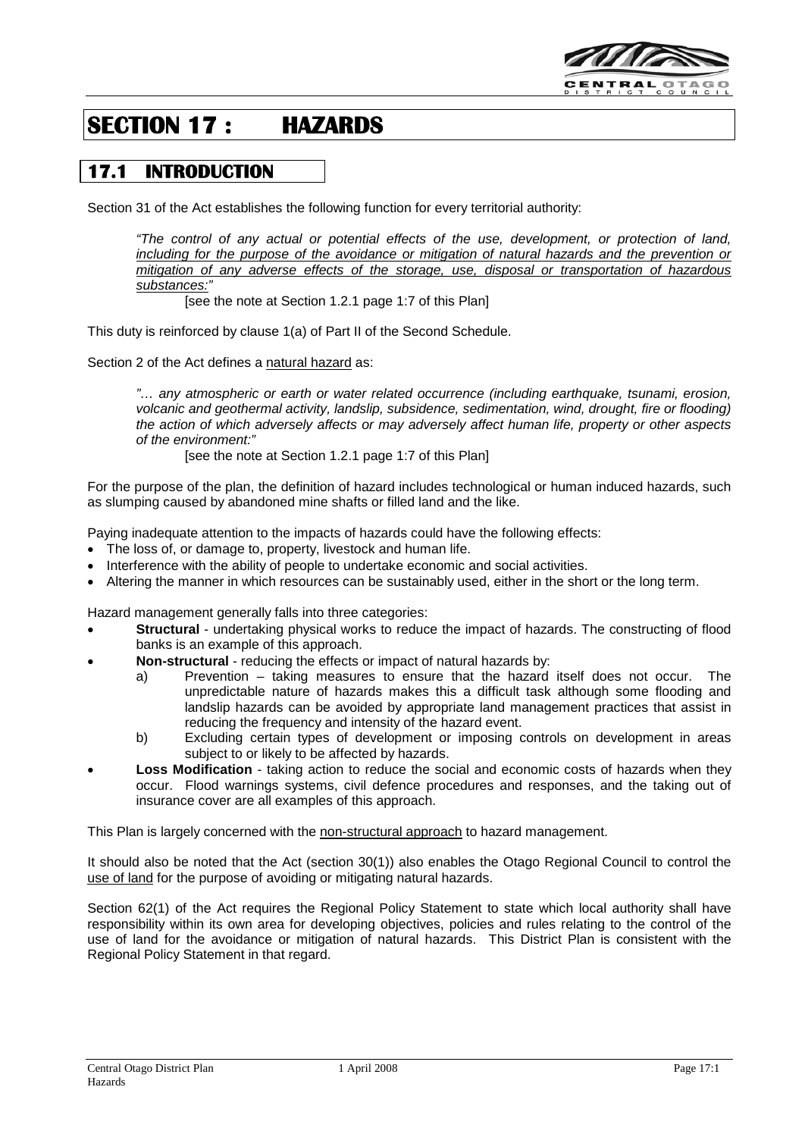

# **SECTION 17 : HAZARDS**

# **17.1 INTRODUCTION**

Section 31 of the Act establishes the following function for every territorial authority:

*"The control of any actual or potential effects of the use, development, or protection of land, including for the purpose of the avoidance or mitigation of natural hazards and the prevention or mitigation of any adverse effects of the storage, use, disposal or transportation of hazardous substances:"* 

[see the note at Section 1.2.1 page 1:7 of this Plan]

This duty is reinforced by clause 1(a) of Part II of the Second Schedule.

Section 2 of the Act defines a natural hazard as:

*"… any atmospheric or earth or water related occurrence (including earthquake, tsunami, erosion, volcanic and geothermal activity, landslip, subsidence, sedimentation, wind, drought, fire or flooding) the action of which adversely affects or may adversely affect human life, property or other aspects of the environment:"*

[see the note at Section 1.2.1 page 1:7 of this Plan]

For the purpose of the plan, the definition of hazard includes technological or human induced hazards, such as slumping caused by abandoned mine shafts or filled land and the like.

Paying inadequate attention to the impacts of hazards could have the following effects:

- The loss of, or damage to, property, livestock and human life.
- Interference with the ability of people to undertake economic and social activities.
- Altering the manner in which resources can be sustainably used, either in the short or the long term.

Hazard management generally falls into three categories:

- **Structural** undertaking physical works to reduce the impact of hazards. The constructing of flood banks is an example of this approach.
- **Non-structural** reducing the effects or impact of natural hazards by:
	- a) Prevention taking measures to ensure that the hazard itself does not occur. The unpredictable nature of hazards makes this a difficult task although some flooding and landslip hazards can be avoided by appropriate land management practices that assist in reducing the frequency and intensity of the hazard event.
	- b) Excluding certain types of development or imposing controls on development in areas subject to or likely to be affected by hazards.
- **Loss Modification** taking action to reduce the social and economic costs of hazards when they occur. Flood warnings systems, civil defence procedures and responses, and the taking out of insurance cover are all examples of this approach.

This Plan is largely concerned with the non-structural approach to hazard management.

It should also be noted that the Act (section 30(1)) also enables the Otago Regional Council to control the use of land for the purpose of avoiding or mitigating natural hazards.

Section 62(1) of the Act requires the Regional Policy Statement to state which local authority shall have responsibility within its own area for developing objectives, policies and rules relating to the control of the use of land for the avoidance or mitigation of natural hazards. This District Plan is consistent with the Regional Policy Statement in that regard.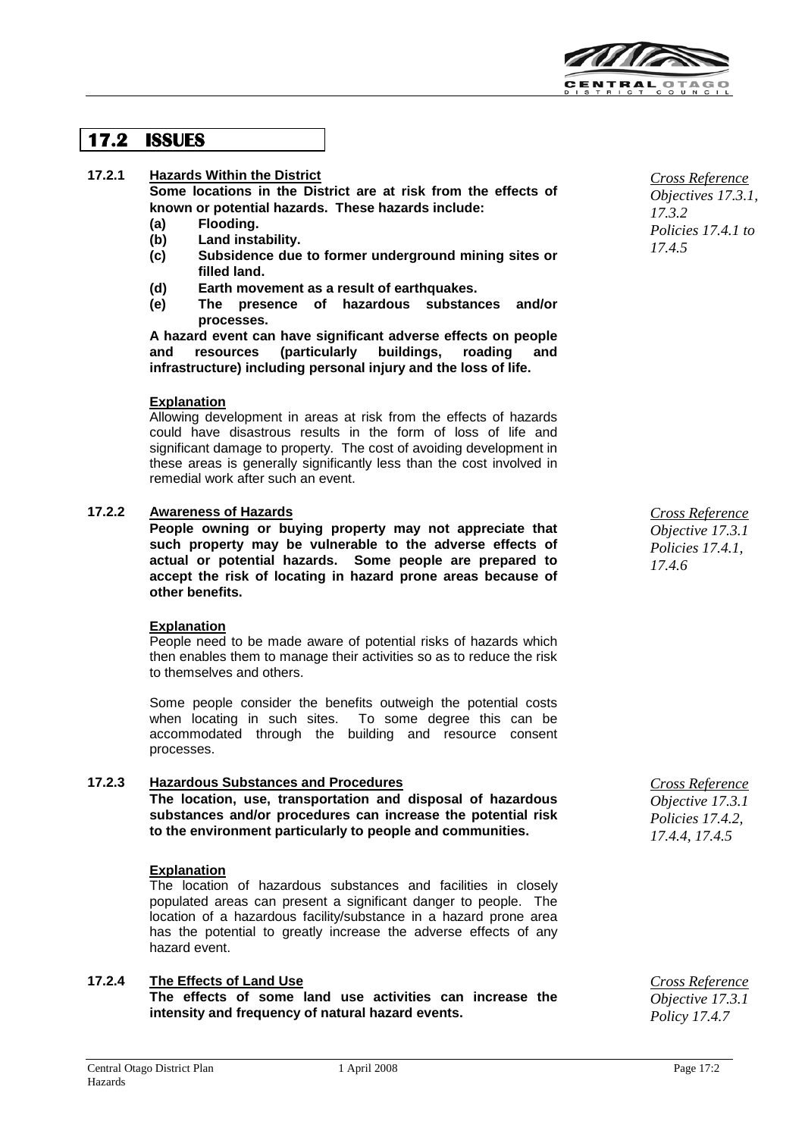

# **17.2 ISSUES**

### **17.2.1 Hazards Within the District**

**Some locations in the District are at risk from the effects of known or potential hazards. These hazards include:**

- **(a) Flooding.**
- **(b) Land instability.**
- **(c) Subsidence due to former underground mining sites or filled land.**
- **(d) Earth movement as a result of earthquakes.**
- **(e) The presence of hazardous substances and/or processes.**

**A hazard event can have significant adverse effects on people**  and resources (particularly buildings, roading **infrastructure) including personal injury and the loss of life.**

#### **Explanation**

Allowing development in areas at risk from the effects of hazards could have disastrous results in the form of loss of life and significant damage to property. The cost of avoiding development in these areas is generally significantly less than the cost involved in remedial work after such an event.

#### **17.2.2 Awareness of Hazards**

**People owning or buying property may not appreciate that such property may be vulnerable to the adverse effects of actual or potential hazards. Some people are prepared to accept the risk of locating in hazard prone areas because of other benefits.**

#### **Explanation**

People need to be made aware of potential risks of hazards which then enables them to manage their activities so as to reduce the risk to themselves and others.

Some people consider the benefits outweigh the potential costs when locating in such sites. To some degree this can be accommodated through the building and resource consent processes.

### **17.2.3 Hazardous Substances and Procedures**

**The location, use, transportation and disposal of hazardous substances and/or procedures can increase the potential risk to the environment particularly to people and communities.**

#### **Explanation**

The location of hazardous substances and facilities in closely populated areas can present a significant danger to people. The location of a hazardous facility/substance in a hazard prone area has the potential to greatly increase the adverse effects of any hazard event.

### **17.2.4 The Effects of Land Use**

**The effects of some land use activities can increase the intensity and frequency of natural hazard events.**

*Cross Reference Objectives 17.3.1, 17.3.2 Policies 17.4.1 to 17.4.5*

*Cross Reference Objective 17.3.1 Policies 17.4.1, 17.4.6*

*Cross Reference Objective 17.3.1 Policies 17.4.2, 17.4.4, 17.4.5*

*Cross Reference Objective 17.3.1 Policy 17.4.7*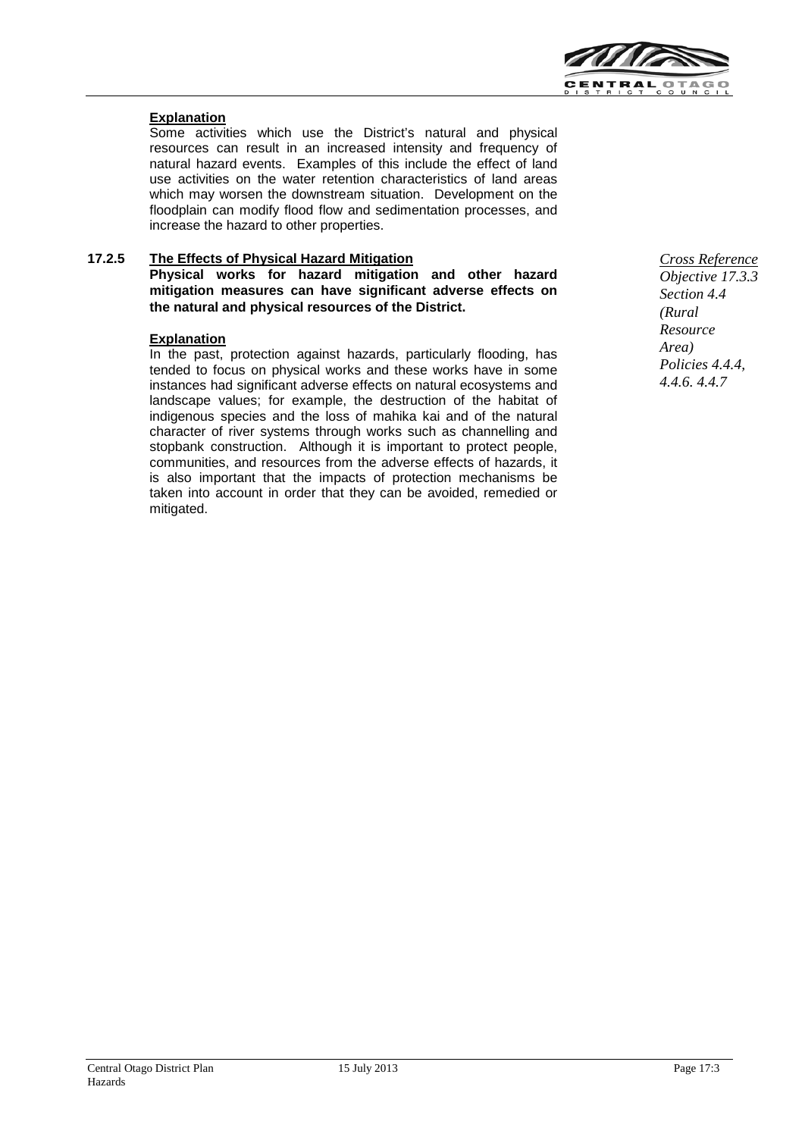

## **Explanation**

Some activities which use the District's natural and physical resources can result in an increased intensity and frequency of natural hazard events. Examples of this include the effect of land use activities on the water retention characteristics of land areas which may worsen the downstream situation. Development on the floodplain can modify flood flow and sedimentation processes, and increase the hazard to other properties.

# **17.2.5 The Effects of Physical Hazard Mitigation**

**Physical works for hazard mitigation and other hazard mitigation measures can have significant adverse effects on the natural and physical resources of the District.**

#### **Explanation**

In the past, protection against hazards, particularly flooding, has tended to focus on physical works and these works have in some instances had significant adverse effects on natural ecosystems and landscape values; for example, the destruction of the habitat of indigenous species and the loss of mahika kai and of the natural character of river systems through works such as channelling and stopbank construction. Although it is important to protect people, communities, and resources from the adverse effects of hazards, it is also important that the impacts of protection mechanisms be taken into account in order that they can be avoided, remedied or mitigated.

*Cross Reference Objective 17.3.3 Section 4.4 (Rural Resource Area) Policies 4.4.4, 4.4.6. 4.4.7*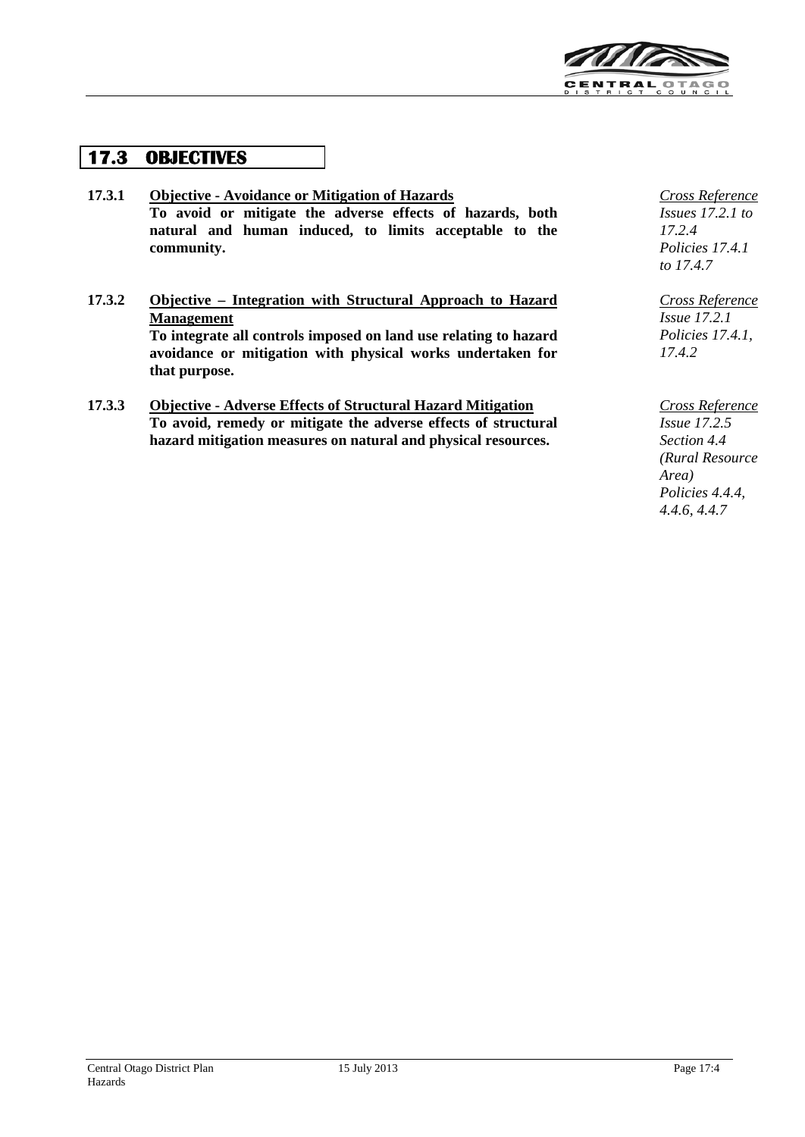

# **17.3 OBJECTIVES**

- **17.3.1 Objective - Avoidance or Mitigation of Hazards To avoid or mitigate the adverse effects of hazards, both natural and human induced, to limits acceptable to the community.**
- **17.3.2 Objective – Integration with Structural Approach to Hazard Management To integrate all controls imposed on land use relating to hazard avoidance or mitigation with physical works undertaken for that purpose.**
- **17.3.3 Objective - Adverse Effects of Structural Hazard Mitigation To avoid, remedy or mitigate the adverse effects of structural hazard mitigation measures on natural and physical resources.**

*Cross Reference Issues 17.2.1 to 17.2.4 Policies 17.4.1 to 17.4.7*

*Cross Reference Issue 17.2.1 Policies 17.4.1, 17.4.2*

*Cross Reference Issue 17.2.5 Section 4.4 (Rural Resource Area) Policies 4.4.4, 4.4.6, 4.4.7*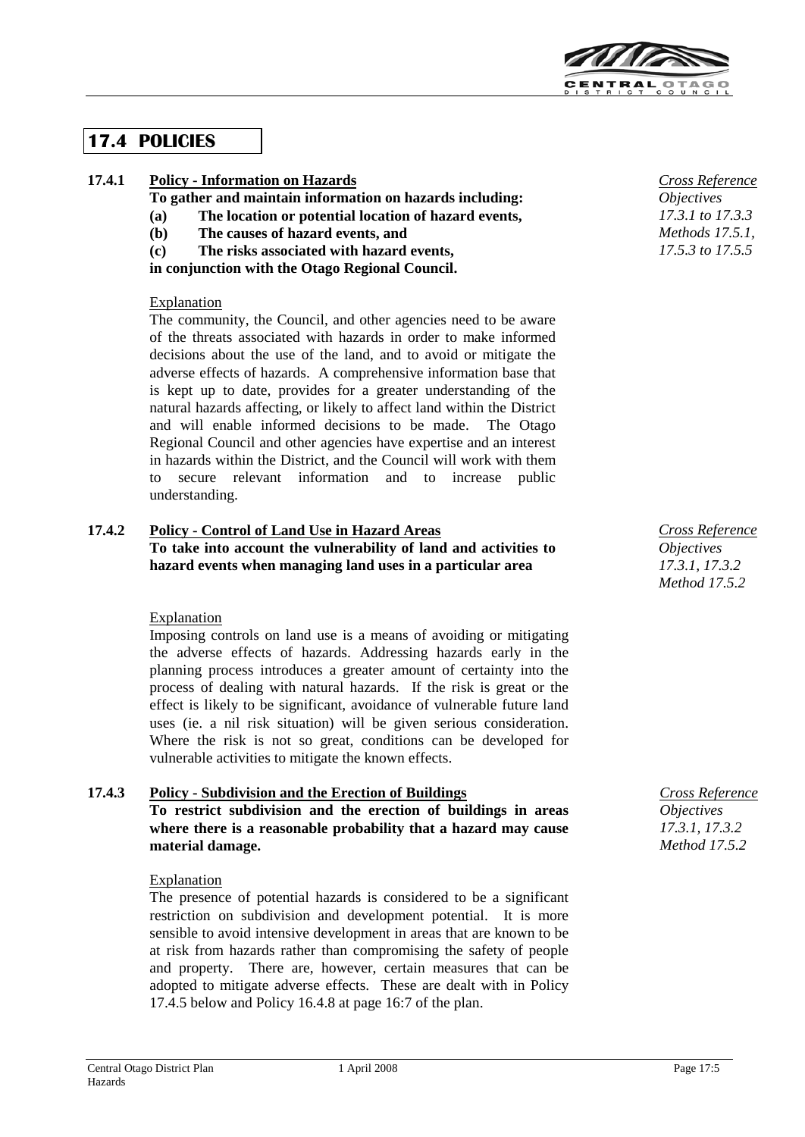

# **17.4 POLICIES**

# **17.4.1 Policy - Information on Hazards**

**To gather and maintain information on hazards including:**

- **(a) The location or potential location of hazard events,**
- **(b) The causes of hazard events, and**
- **(c) The risks associated with hazard events,**

**in conjunction with the Otago Regional Council.**

# **Explanation**

The community, the Council, and other agencies need to be aware of the threats associated with hazards in order to make informed decisions about the use of the land, and to avoid or mitigate the adverse effects of hazards. A comprehensive information base that is kept up to date, provides for a greater understanding of the natural hazards affecting, or likely to affect land within the District and will enable informed decisions to be made. The Otago Regional Council and other agencies have expertise and an interest in hazards within the District, and the Council will work with them to secure relevant information and to increase public understanding.

### **17.4.2 Policy - Control of Land Use in Hazard Areas To take into account the vulnerability of land and activities to hazard events when managing land uses in a particular area**

# Explanation

Imposing controls on land use is a means of avoiding or mitigating the adverse effects of hazards. Addressing hazards early in the planning process introduces a greater amount of certainty into the process of dealing with natural hazards. If the risk is great or the effect is likely to be significant, avoidance of vulnerable future land uses (ie. a nil risk situation) will be given serious consideration. Where the risk is not so great, conditions can be developed for vulnerable activities to mitigate the known effects.

### **17.4.3 Policy - Subdivision and the Erection of Buildings To restrict subdivision and the erection of buildings in areas where there is a reasonable probability that a hazard may cause material damage.**

# Explanation

The presence of potential hazards is considered to be a significant restriction on subdivision and development potential. It is more sensible to avoid intensive development in areas that are known to be at risk from hazards rather than compromising the safety of people and property. There are, however, certain measures that can be adopted to mitigate adverse effects. These are dealt with in Policy 17.4.5 below and Policy 16.4.8 at page 16:7 of the plan.

*Cross Reference Objectives 17.3.1 to 17.3.3 Methods* 17.5.1 *17.5.3 to 17.5.5*

*Cross Reference Objectives 17.3.1, 17.3.2 Method 17.5.2*

*Cross Reference Objectives 17.3.1, 17.3.2 Method 17.5.2*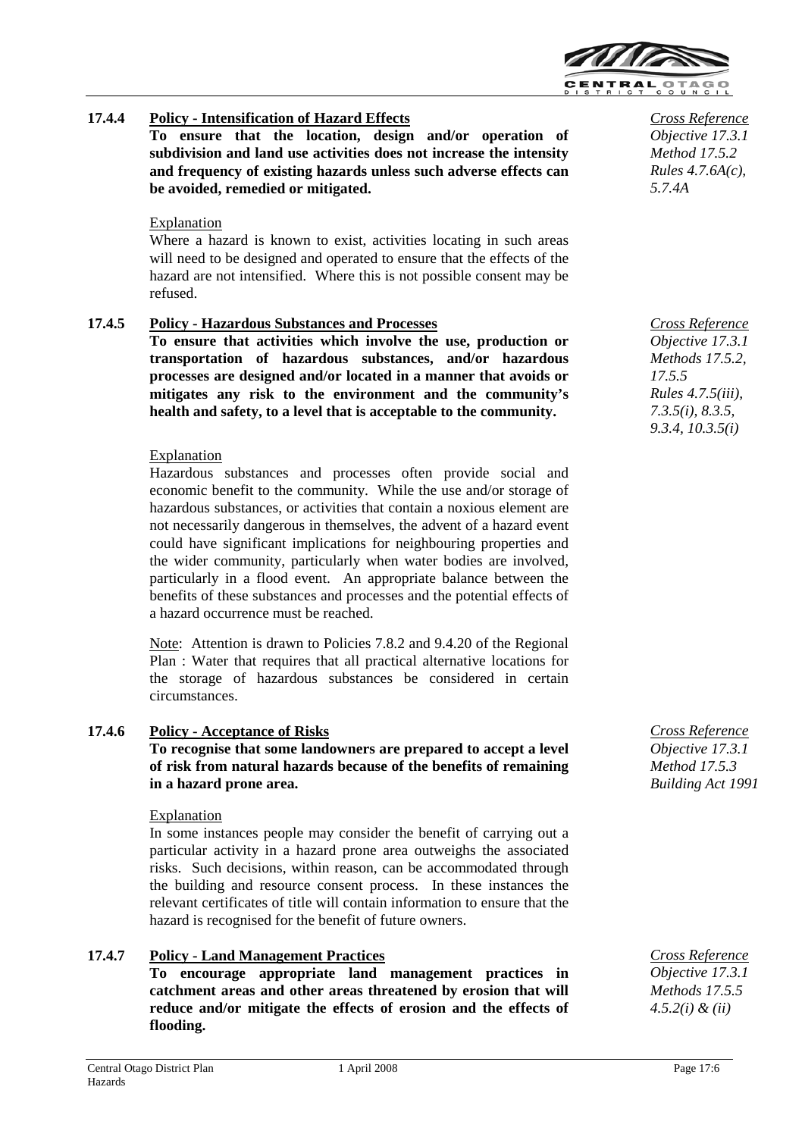

# **17.4.4 Policy - Intensification of Hazard Effects**

**To ensure that the location, design and/or operation of subdivision and land use activities does not increase the intensity and frequency of existing hazards unless such adverse effects can be avoided, remedied or mitigated.**

### Explanation

Where a hazard is known to exist, activities locating in such areas will need to be designed and operated to ensure that the effects of the hazard are not intensified. Where this is not possible consent may be refused.

### **17.4.5 Policy - Hazardous Substances and Processes**

**To ensure that activities which involve the use, production or transportation of hazardous substances, and/or hazardous processes are designed and/or located in a manner that avoids or mitigates any risk to the environment and the community's health and safety, to a level that is acceptable to the community.**

#### **Explanation**

Hazardous substances and processes often provide social and economic benefit to the community. While the use and/or storage of hazardous substances, or activities that contain a noxious element are not necessarily dangerous in themselves, the advent of a hazard event could have significant implications for neighbouring properties and the wider community, particularly when water bodies are involved, particularly in a flood event. An appropriate balance between the benefits of these substances and processes and the potential effects of a hazard occurrence must be reached.

Note: Attention is drawn to Policies 7.8.2 and 9.4.20 of the Regional Plan : Water that requires that all practical alternative locations for the storage of hazardous substances be considered in certain circumstances.

### **17.4.6 Policy - Acceptance of Risks**

**To recognise that some landowners are prepared to accept a level of risk from natural hazards because of the benefits of remaining in a hazard prone area.**

### Explanation

In some instances people may consider the benefit of carrying out a particular activity in a hazard prone area outweighs the associated risks. Such decisions, within reason, can be accommodated through the building and resource consent process. In these instances the relevant certificates of title will contain information to ensure that the hazard is recognised for the benefit of future owners.

### **17.4.7 Policy - Land Management Practices**

**To encourage appropriate land management practices in catchment areas and other areas threatened by erosion that will reduce and/or mitigate the effects of erosion and the effects of flooding.**

*Cross Reference Objective 17.3.1 Method 17.5.2 Rules 4.7.6A(c), 5.7.4A* 

*Cross Reference Objective 17.3.1 Methods 17.5.2, 17.5.5 Rules 4.7.5(iii), 7.3.5(i), 8.3.5, 9.3.4, 10.3.5(i)*

*Cross Reference Objective 17.3.1 Method 17.5.3 Building Act 1991*

*Cross Reference Objective 17.3.1 Methods 17.5.5 4.5.2(i) & (ii)*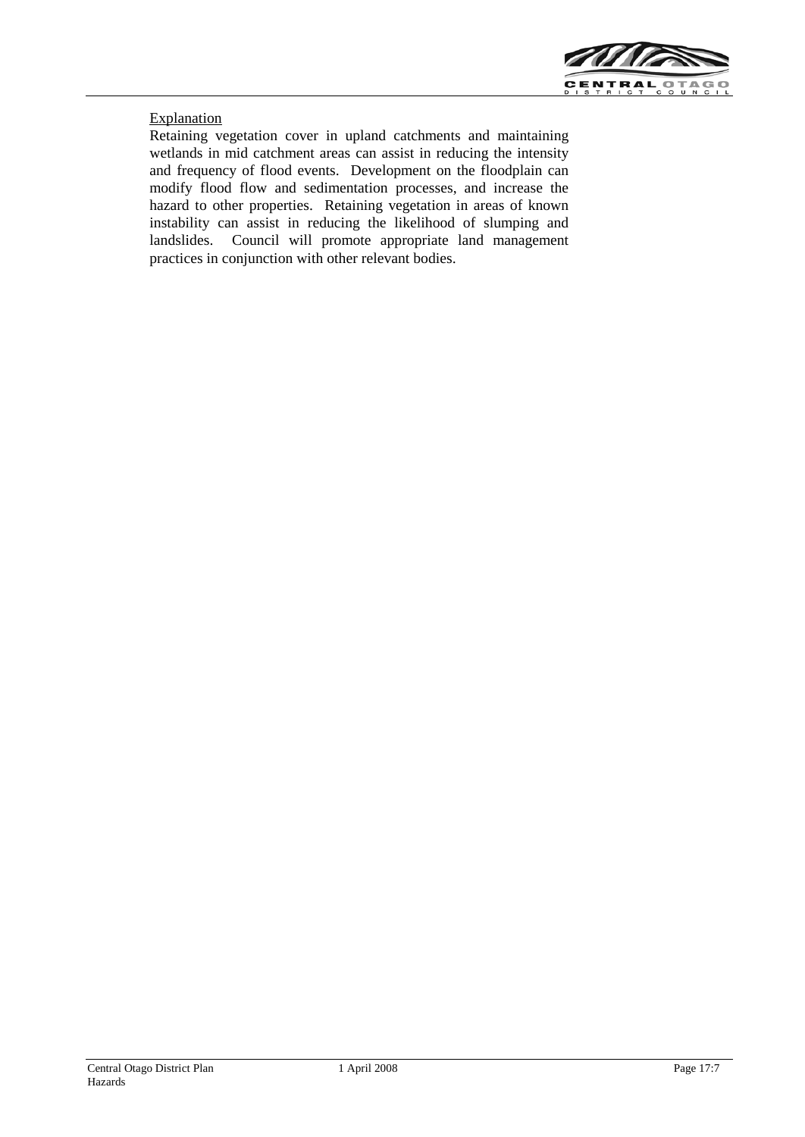

## **Explanation**

Retaining vegetation cover in upland catchments and maintaining wetlands in mid catchment areas can assist in reducing the intensity and frequency of flood events. Development on the floodplain can modify flood flow and sedimentation processes, and increase the hazard to other properties. Retaining vegetation in areas of known instability can assist in reducing the likelihood of slumping and landslides. Council will promote appropriate land management practices in conjunction with other relevant bodies.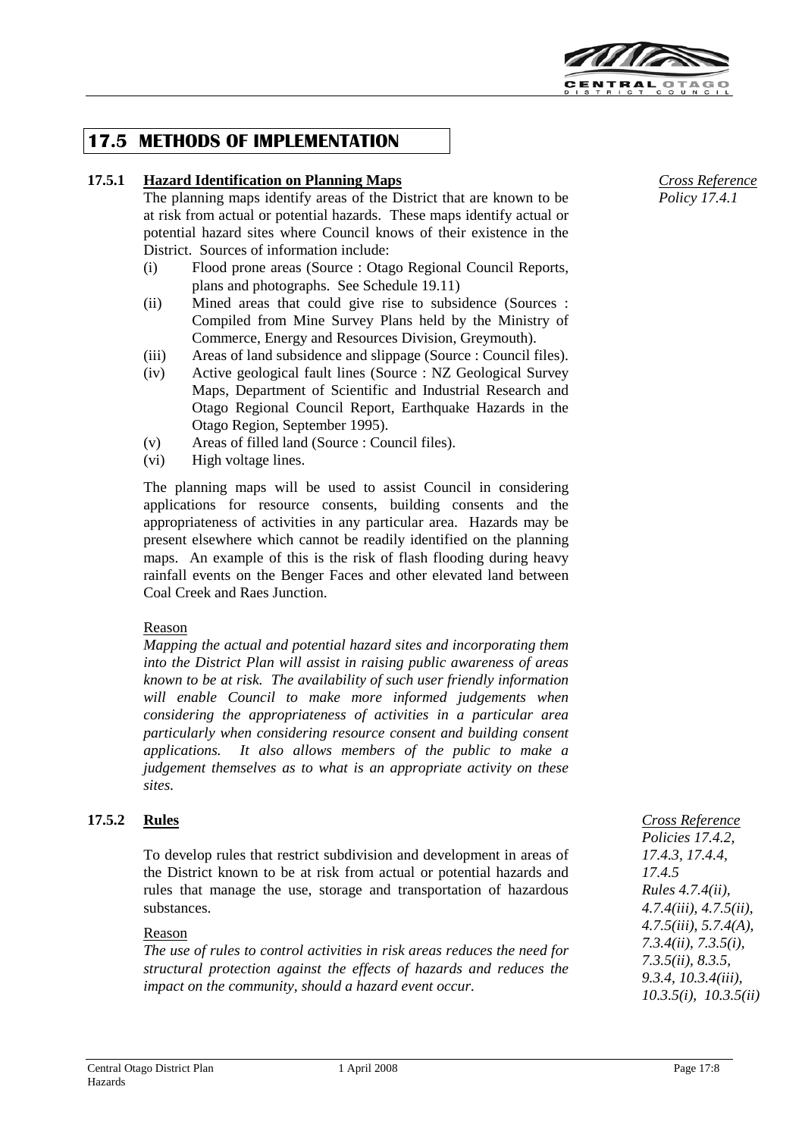

# **17.5 METHODS OF IMPLEMENTATION**

# **17.5.1 Hazard Identification on Planning Maps**

The planning maps identify areas of the District that are known to be at risk from actual or potential hazards. These maps identify actual or potential hazard sites where Council knows of their existence in the District. Sources of information include:

- (i) Flood prone areas (Source : Otago Regional Council Reports, plans and photographs. See Schedule 19.11)
- (ii) Mined areas that could give rise to subsidence (Sources : Compiled from Mine Survey Plans held by the Ministry of Commerce, Energy and Resources Division, Greymouth).
- (iii) Areas of land subsidence and slippage (Source : Council files).
- (iv) Active geological fault lines (Source : NZ Geological Survey Maps, Department of Scientific and Industrial Research and Otago Regional Council Report, Earthquake Hazards in the Otago Region, September 1995).
- (v) Areas of filled land (Source : Council files).
- (vi) High voltage lines.

The planning maps will be used to assist Council in considering applications for resource consents, building consents and the appropriateness of activities in any particular area. Hazards may be present elsewhere which cannot be readily identified on the planning maps. An example of this is the risk of flash flooding during heavy rainfall events on the Benger Faces and other elevated land between Coal Creek and Raes Junction.

### Reason

*Mapping the actual and potential hazard sites and incorporating them into the District Plan will assist in raising public awareness of areas known to be at risk. The availability of such user friendly information will enable Council to make more informed judgements when considering the appropriateness of activities in a particular area particularly when considering resource consent and building consent applications. It also allows members of the public to make a judgement themselves as to what is an appropriate activity on these sites.*

# **17.5.2 Rules**

To develop rules that restrict subdivision and development in areas of the District known to be at risk from actual or potential hazards and rules that manage the use, storage and transportation of hazardous substances.

### Reason

*The use of rules to control activities in risk areas reduces the need for structural protection against the effects of hazards and reduces the impact on the community, should a hazard event occur.*

*Cross Reference Policy 17.4.1*

*Policies 17.4.2, 17.4.3, 17.4.4, 17.4.5 Rules 4.7.4(ii), 4.7.4(iii), 4.7.5(ii), 4.7.5(iii), 5.7.4(A), 7.3.4(ii), 7.3.5(i), 7.3.5(ii), 8.3.5, 9.3.4, 10.3.4(iii), 10.3.5(i), 10.3.5(ii)* 

*Cross Reference*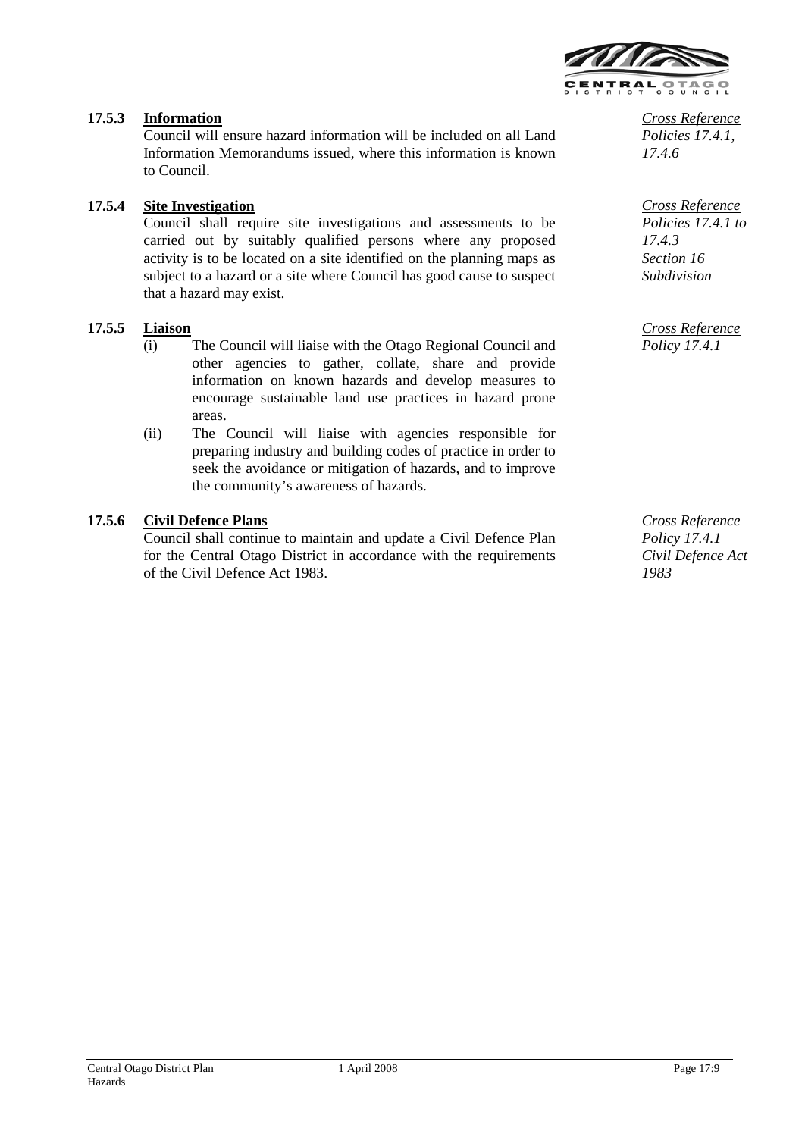

# **17.5.3 Information**

Council will ensure hazard information will be included on all Land Information Memorandums issued, where this information is known to Council.

# **17.5.4 Site Investigation**

Council shall require site investigations and assessments to be carried out by suitably qualified persons where any proposed activity is to be located on a site identified on the planning maps as subject to a hazard or a site where Council has good cause to suspect that a hazard may exist.

## **17.5.5 Liaison**

- (i) The Council will liaise with the Otago Regional Council and other agencies to gather, collate, share and provide information on known hazards and develop measures to encourage sustainable land use practices in hazard prone areas.
- (ii) The Council will liaise with agencies responsible for preparing industry and building codes of practice in order to seek the avoidance or mitigation of hazards, and to improve the community's awareness of hazards.

## **17.5.6 Civil Defence Plans**

Council shall continue to maintain and update a Civil Defence Plan for the Central Otago District in accordance with the requirements of the Civil Defence Act 1983.

*Cross Reference Policies 17.4.1, 17.4.6*

*Cross Reference Policies 17.4.1 to 17.4.3 Section 16 Subdivision*

*Cross Reference Policy 17.4.1*

*Cross Reference Policy 17.4.1 Civil Defence Act 1983*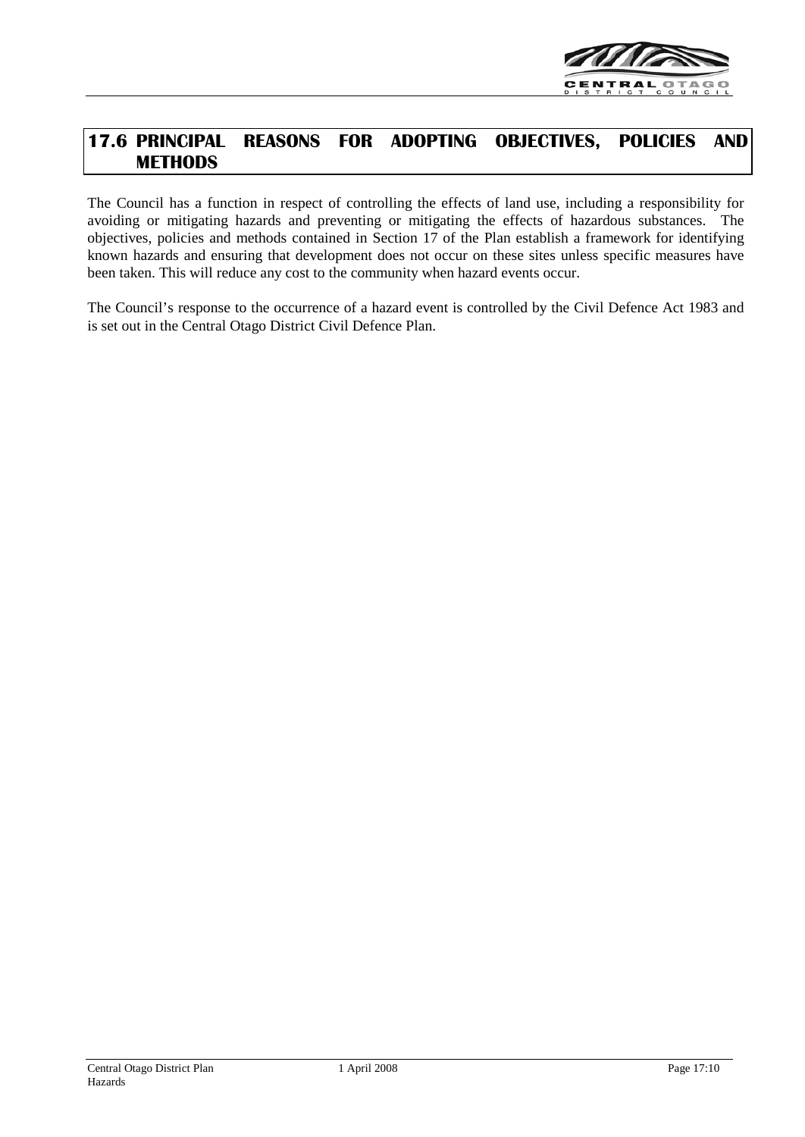

# **17.6 PRINCIPAL REASONS FOR ADOPTING OBJECTIVES, POLICIES AND METHODS**

The Council has a function in respect of controlling the effects of land use, including a responsibility for avoiding or mitigating hazards and preventing or mitigating the effects of hazardous substances. The objectives, policies and methods contained in Section 17 of the Plan establish a framework for identifying known hazards and ensuring that development does not occur on these sites unless specific measures have been taken. This will reduce any cost to the community when hazard events occur.

The Council's response to the occurrence of a hazard event is controlled by the Civil Defence Act 1983 and is set out in the Central Otago District Civil Defence Plan.